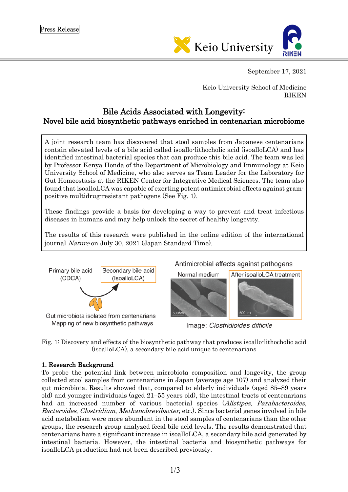

September 17, 2021

Keio University School of Medicine RIKEN

# Bile Acids Associated with Longevity: Novel bile acid biosynthetic pathways enriched in centenarian microbiome

A joint research team has discovered that stool samples from Japanese centenarians contain elevated levels of a bile acid called isoallo-lithocholic acid (isoalloLCA) and has identified intestinal bacterial species that can produce this bile acid. The team was led by Professor Kenya Honda of the Department of Microbiology and Immunology at Keio University School of Medicine, who also serves as Team Leader for the Laboratory for Gut Homeostasis at the RIKEN Center for Integrative Medical Sciences. The team also found that isoalloLCA was capable of exerting potent antimicrobial effects against grampositive multidrug-resistant pathogens (See Fig. 1).

These findings provide a basis for developing a way to prevent and treat infectious diseases in humans and may help unlock the secret of healthy longevity.

The results of this research were published in the online edition of the international journal Nature on July 30, 2021 (Japan Standard Time).



Fig. 1: Discovery and effects of the biosynthetic pathway that produces isoallo-lithocholic acid (isoalloLCA), a secondary bile acid unique to centenarians

## 1. Research Background

To probe the potential link between microbiota composition and longevity, the group collected stool samples from centenarians in Japan (average age 107) and analyzed their gut microbiota. Results showed that, compared to elderly individuals (aged 85–89 years old) and younger individuals (aged 21–55 years old), the intestinal tracts of centenarians had an increased number of various bacterial species (Alistipes, Parabacteroides, Bacteroides, Clostridium, Methanobrevibacter, etc.). Since bacterial genes involved in bile acid metabolism were more abundant in the stool samples of centenarians than the other groups, the research group analyzed fecal bile acid levels. The results demonstrated that centenarians have a significant increase in isoalloLCA, a secondary bile acid generated by intestinal bacteria. However, the intestinal bacteria and biosynthetic pathways for isoalloLCA production had not been described previously.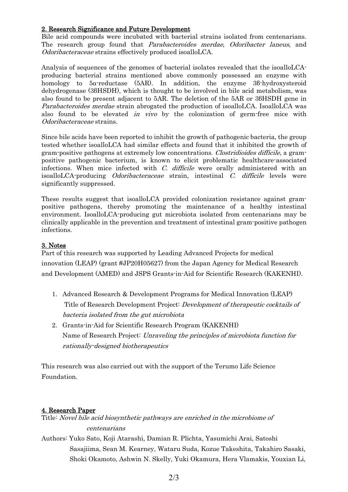### 2. Research Significance and Future Development

Bile acid compounds were incubated with bacterial strains isolated from centenarians. The research group found that *Parabacteroides merdae, Odoribacter laneus*, and Odoribacteraceae strains effectively produced isoalloLCA.

Analysis of sequences of the genomes of bacterial isolates revealed that the isoalloLCAproducing bacterial strains mentioned above commonly possessed an enzyme with homology to 5α-reductase (5AR). In addition, the enzyme 3β-hydroxysteroid dehydrogenase (3βHSDH), which is thought to be involved in bile acid metabolism, was also found to be present adjacent to 5AR. The deletion of the 5AR or 3βHSDH gene in Parabacteroides merdae strain abrogated the production of isoalloLCA. IsoalloLCA was also found to be elevated in vivo by the colonization of germ-free mice with Odoribacteraceae strains.

Since bile acids have been reported to inhibit the growth of pathogenic bacteria, the group tested whether isoalloLCA had similar effects and found that it inhibited the growth of gram-positive pathogens at extremely low concentrations. Clostridioides difficile, a grampositive pathogenic bacterium, is known to elicit problematic healthcare-associated infections. When mice infected with C. difficile were orally administered with an isoalloLCA-producing Odoribacteraceae strain, intestinal C. difficile levels were significantly suppressed.

These results suggest that isoalloLCA provided colonization resistance against grampositive pathogens, thereby promoting the maintenance of a healthy intestinal environment. IsoalloLCA-producing gut microbiota isolated from centenarians may be clinically applicable in the prevention and treatment of intestinal gram-positive pathogen infections.

#### 3. Notes

Part of this research was supported by Leading Advanced Projects for medical innovation (LEAP) (grant #JP20H05627) from the Japan Agency for Medical Research and Development (AMED) and JSPS Grants-in-Aid for Scientific Research (KAKENHI).

- 1. Advanced Research & Development Programs for Medical Innovation (LEAP) Title of Research Development Project: Development of therapeutic cocktails of bacteria isolated from the gut microbiota
- 2. Grants-in-Aid for Scientific Research Program (KAKENHI) Name of Research Project: Unraveling the principles of microbiota function for rationally-designed biotherapeutics

This research was also carried out with the support of the Terumo Life Science Foundation.

#### 4. Research Paper

Title: Novel bile acid biosynthetic pathways are enriched in the microbiome of centenarians

Authors: Yuko Sato, Koji Atarashi, Damian R. Plichta, Yasumichi Arai, Satoshi Sasajiima, Sean M. Kearney, Wataru Suda, Kozue Takeshita, Takahiro Sasaki, Shoki Okamoto, Ashwin N. Skelly, Yuki Okamura, Hera Vlamakis, Youxian Li,